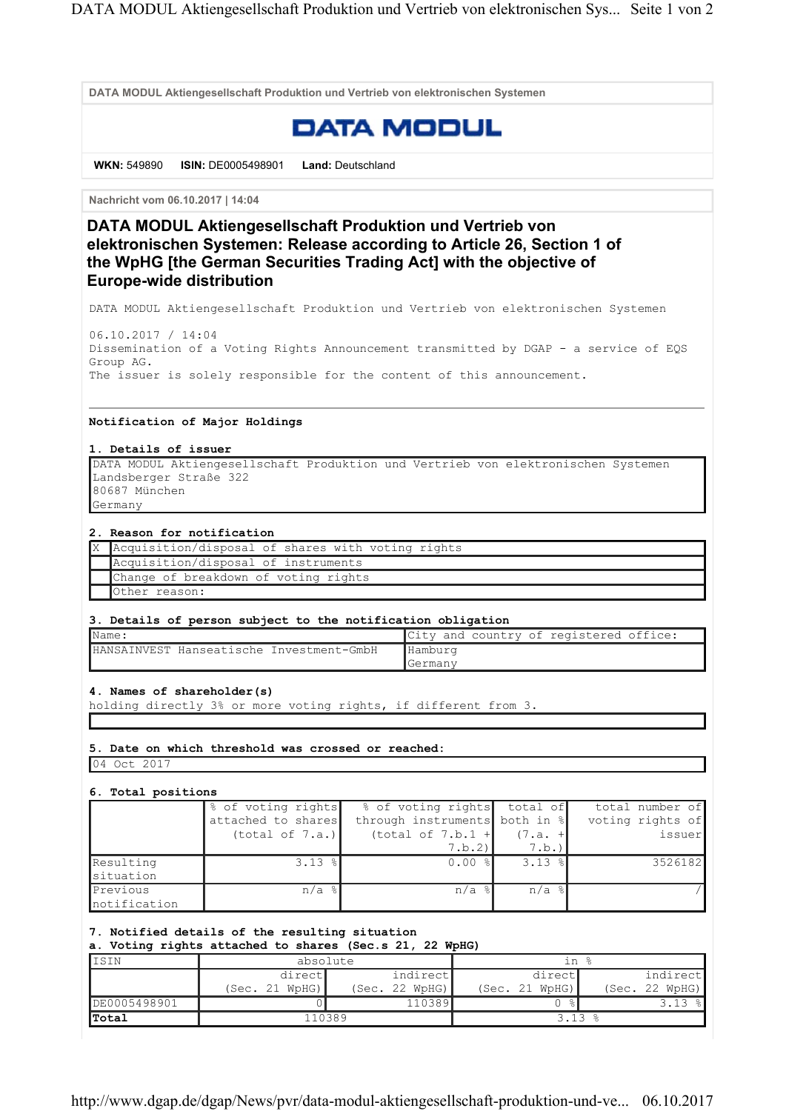